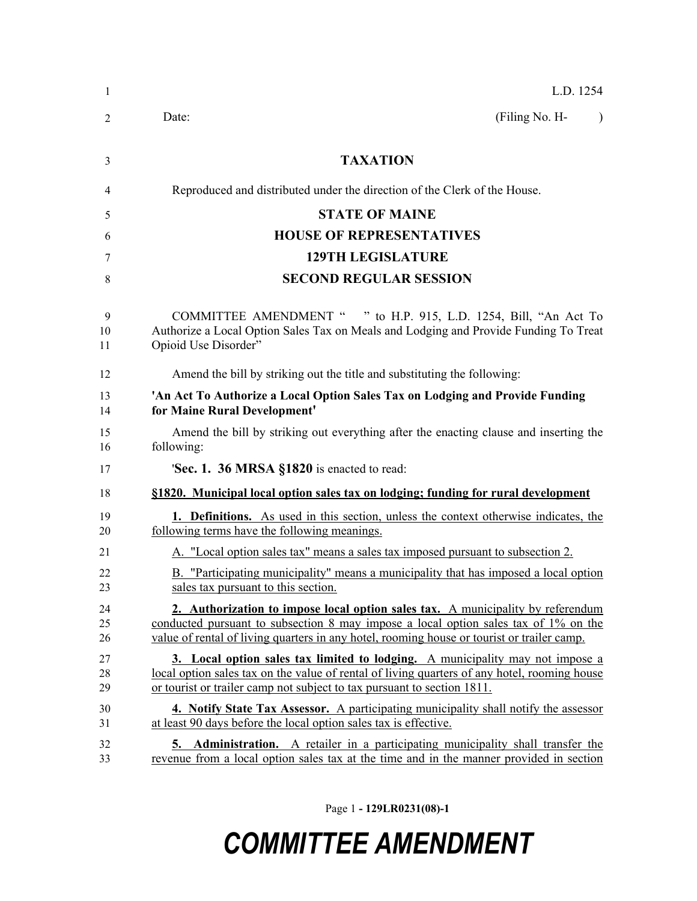| $\mathbf{1}$   | L.D. 1254                                                                                                                                                                                                                                                            |
|----------------|----------------------------------------------------------------------------------------------------------------------------------------------------------------------------------------------------------------------------------------------------------------------|
| 2              | (Filing No. H-<br>Date:<br>$\lambda$                                                                                                                                                                                                                                 |
| 3              | <b>TAXATION</b>                                                                                                                                                                                                                                                      |
| 4              | Reproduced and distributed under the direction of the Clerk of the House.                                                                                                                                                                                            |
| 5              | <b>STATE OF MAINE</b>                                                                                                                                                                                                                                                |
| 6              | <b>HOUSE OF REPRESENTATIVES</b>                                                                                                                                                                                                                                      |
| 7              | <b>129TH LEGISLATURE</b>                                                                                                                                                                                                                                             |
| 8              | <b>SECOND REGULAR SESSION</b>                                                                                                                                                                                                                                        |
| 9<br>10<br>11  | COMMITTEE AMENDMENT " " to H.P. 915, L.D. 1254, Bill, "An Act To<br>Authorize a Local Option Sales Tax on Meals and Lodging and Provide Funding To Treat<br>Opioid Use Disorder"                                                                                     |
| 12             | Amend the bill by striking out the title and substituting the following:                                                                                                                                                                                             |
| 13<br>14       | 'An Act To Authorize a Local Option Sales Tax on Lodging and Provide Funding<br>for Maine Rural Development'                                                                                                                                                         |
| 15<br>16       | Amend the bill by striking out everything after the enacting clause and inserting the<br>following:                                                                                                                                                                  |
| 17             | <b>Sec. 1. 36 MRSA <math>\$1820</math> is enacted to read:</b>                                                                                                                                                                                                       |
| 18             | §1820. Municipal local option sales tax on lodging; funding for rural development                                                                                                                                                                                    |
| 19<br>20       | <b>1. Definitions.</b> As used in this section, unless the context otherwise indicates, the<br>following terms have the following meanings.                                                                                                                          |
| 21             | A. "Local option sales tax" means a sales tax imposed pursuant to subsection 2.                                                                                                                                                                                      |
| 22<br>23       | B. "Participating municipality" means a municipality that has imposed a local option<br>sales tax pursuant to this section                                                                                                                                           |
| 24<br>25<br>26 | 2. Authorization to impose local option sales tax. A municipality by referendum<br>conducted pursuant to subsection 8 may impose a local option sales tax of 1% on the<br>value of rental of living quarters in any hotel, rooming house or tourist or trailer camp. |
| 27<br>28<br>29 | 3. Local option sales tax limited to lodging. A municipality may not impose a<br>local option sales tax on the value of rental of living quarters of any hotel, rooming house<br>or tourist or trailer camp not subject to tax pursuant to section 1811.             |
| 30<br>31       | 4. Notify State Tax Assessor. A participating municipality shall notify the assessor<br>at least 90 days before the local option sales tax is effective.                                                                                                             |
| 32<br>33       | <b>Administration.</b> A retailer in a participating municipality shall transfer the<br>5.<br>revenue from a local option sales tax at the time and in the manner provided in section                                                                                |

Page 1 **- 129LR0231(08)-1**

## *COMMITTEE AMENDMENT*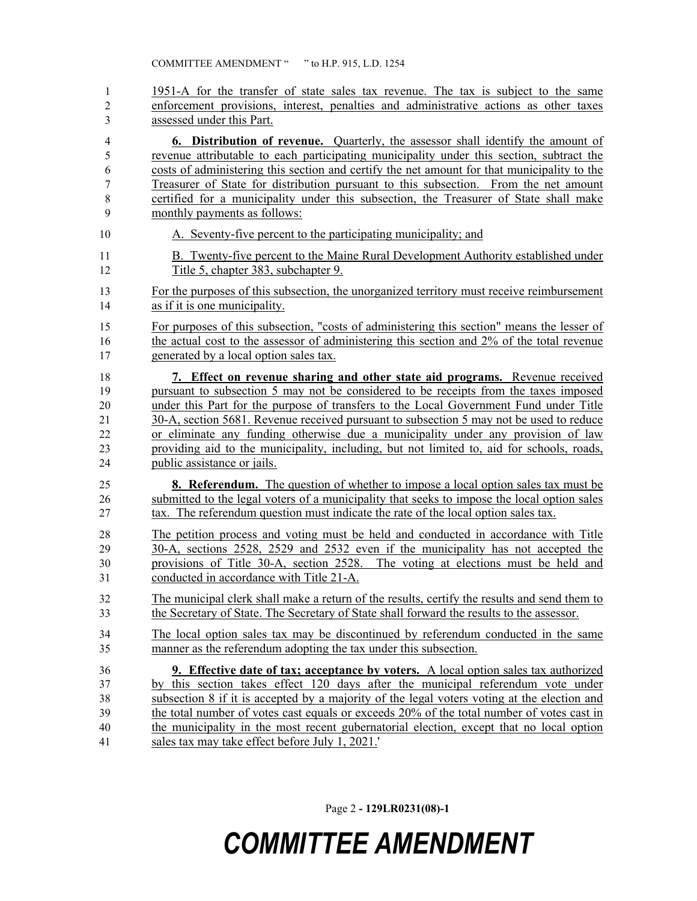| 1              | 1951-A for the transfer of state sales tax revenue. The tax is subject to the same           |
|----------------|----------------------------------------------------------------------------------------------|
| $\overline{2}$ | enforcement provisions, interest, penalties and administrative actions as other taxes        |
| 3              | assessed under this Part.                                                                    |
| 4              | <b>6. Distribution of revenue.</b> Quarterly, the assessor shall identify the amount of      |
| 5              | revenue attributable to each participating municipality under this section, subtract the     |
| 6              | costs of administering this section and certify the net amount for that municipality to the  |
| 7              | Treasurer of State for distribution pursuant to this subsection. From the net amount         |
| 8              | certified for a municipality under this subsection, the Treasurer of State shall make        |
| 9              | monthly payments as follows:                                                                 |
| 10             | A. Seventy-five percent to the participating municipality; and                               |
| 11             | B. Twenty-five percent to the Maine Rural Development Authority established under            |
| 12             | Title 5, chapter 383, subchapter 9.                                                          |
| 13             | For the purposes of this subsection, the unorganized territory must receive reimbursement    |
| 14             | as if it is one municipality.                                                                |
| 15             | For purposes of this subsection, "costs of administering this section" means the lesser of   |
| 16             | the actual cost to the assessor of administering this section and 2% of the total revenue    |
| 17             | generated by a local option sales tax.                                                       |
| 18             | 7. Effect on revenue sharing and other state aid programs. Revenue received                  |
| 19             | pursuant to subsection 5 may not be considered to be receipts from the taxes imposed         |
| 20             | under this Part for the purpose of transfers to the Local Government Fund under Title        |
| 21             | 30-A, section 5681. Revenue received pursuant to subsection 5 may not be used to reduce      |
| 22             | or eliminate any funding otherwise due a municipality under any provision of law             |
| 23             | providing aid to the municipality, including, but not limited to, aid for schools, roads,    |
| 24             | public assistance or jails.                                                                  |
| 25             | <b>8. Referendum.</b> The question of whether to impose a local option sales tax must be     |
| 26             | submitted to the legal voters of a municipality that seeks to impose the local option sales  |
| 27             | tax. The referendum question must indicate the rate of the local option sales tax.           |
| 28             | The petition process and voting must be held and conducted in accordance with Title          |
| 29             | 30-A, sections 2528, 2529 and 2532 even if the municipality has not accepted the             |
| 30             | provisions of Title 30-A, section 2528. The voting at elections must be held and             |
| 31             | conducted in accordance with Title 21-A.                                                     |
| 32             | The municipal clerk shall make a return of the results, certify the results and send them to |
| 33             | the Secretary of State. The Secretary of State shall forward the results to the assessor.    |
| 34             | The local option sales tax may be discontinued by referendum conducted in the same           |
| 35             | manner as the referendum adopting the tax under this subsection.                             |
| 36             | <b>9.</b> Effective date of tax; acceptance by voters. A local option sales tax authorized   |
| 37             | by this section takes effect 120 days after the municipal referendum vote under              |
| 38             | subsection 8 if it is accepted by a majority of the legal voters voting at the election and  |
| 39             | the total number of votes cast equals or exceeds 20% of the total number of votes cast in    |
| 40             | the municipality in the most recent gubernatorial election, except that no local option      |
| 41             | sales tax may take effect before July 1, 2021.'                                              |

Page 2 **- 129LR0231(08)-1**

## *COMMITTEE AMENDMENT*